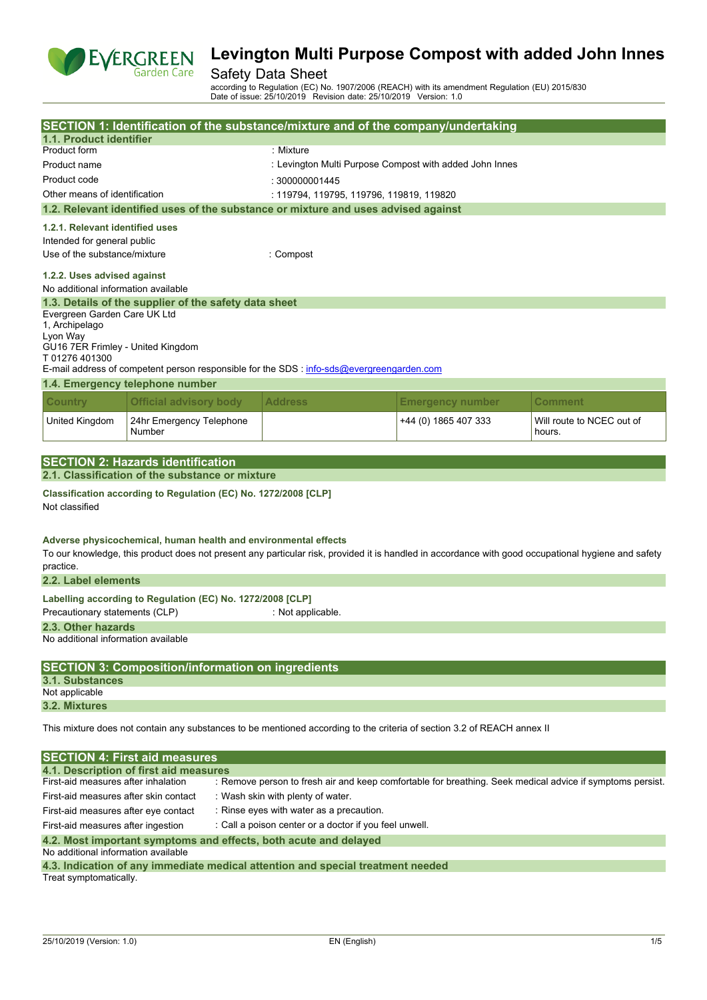

## Safety Data Sheet

according to Regulation (EC) No. 1907/2006 (REACH) with its amendment Regulation (EU) 2015/830 Date of issue: 25/10/2019 Revision date: 25/10/2019 Version: 1.0

|                                                           |                                                                                           |                                          |                                                        | SECTION 1: Identification of the substance/mixture and of the company/undertaking                                       |                                                                                                                                                     |
|-----------------------------------------------------------|-------------------------------------------------------------------------------------------|------------------------------------------|--------------------------------------------------------|-------------------------------------------------------------------------------------------------------------------------|-----------------------------------------------------------------------------------------------------------------------------------------------------|
| 1.1. Product identifier                                   |                                                                                           |                                          |                                                        |                                                                                                                         |                                                                                                                                                     |
| Product form                                              |                                                                                           | : Mixture                                |                                                        |                                                                                                                         |                                                                                                                                                     |
| Product name                                              |                                                                                           |                                          |                                                        | : Levington Multi Purpose Compost with added John Innes                                                                 |                                                                                                                                                     |
| Product code                                              |                                                                                           | : 300000001445                           |                                                        |                                                                                                                         |                                                                                                                                                     |
| Other means of identification                             |                                                                                           |                                          | : 119794, 119795, 119796, 119819, 119820               |                                                                                                                         |                                                                                                                                                     |
|                                                           | 1.2. Relevant identified uses of the substance or mixture and uses advised against        |                                          |                                                        |                                                                                                                         |                                                                                                                                                     |
|                                                           |                                                                                           |                                          |                                                        |                                                                                                                         |                                                                                                                                                     |
| 1.2.1. Relevant identified uses                           |                                                                                           |                                          |                                                        |                                                                                                                         |                                                                                                                                                     |
| Intended for general public                               |                                                                                           |                                          |                                                        |                                                                                                                         |                                                                                                                                                     |
| Use of the substance/mixture                              |                                                                                           | : Compost                                |                                                        |                                                                                                                         |                                                                                                                                                     |
| 1.2.2. Uses advised against                               |                                                                                           |                                          |                                                        |                                                                                                                         |                                                                                                                                                     |
| No additional information available                       |                                                                                           |                                          |                                                        |                                                                                                                         |                                                                                                                                                     |
|                                                           | 1.3. Details of the supplier of the safety data sheet                                     |                                          |                                                        |                                                                                                                         |                                                                                                                                                     |
| Evergreen Garden Care UK Ltd                              |                                                                                           |                                          |                                                        |                                                                                                                         |                                                                                                                                                     |
| 1, Archipelago                                            |                                                                                           |                                          |                                                        |                                                                                                                         |                                                                                                                                                     |
| Lyon Way<br>GU16 7ER Frimley - United Kingdom             |                                                                                           |                                          |                                                        |                                                                                                                         |                                                                                                                                                     |
| T01276401300                                              |                                                                                           |                                          |                                                        |                                                                                                                         |                                                                                                                                                     |
|                                                           | E-mail address of competent person responsible for the SDS : info-sds@evergreengarden.com |                                          |                                                        |                                                                                                                         |                                                                                                                                                     |
|                                                           | 1.4. Emergency telephone number                                                           |                                          |                                                        |                                                                                                                         |                                                                                                                                                     |
| <b>Country</b>                                            | <b>Official advisory body</b>                                                             | <b>Address</b>                           |                                                        | <b>Emergency number</b>                                                                                                 | Comment                                                                                                                                             |
|                                                           |                                                                                           |                                          |                                                        |                                                                                                                         |                                                                                                                                                     |
| United Kingdom                                            | 24hr Emergency Telephone<br>Number                                                        |                                          |                                                        | +44 (0) 1865 407 333                                                                                                    | Will route to NCEC out of<br>hours.                                                                                                                 |
|                                                           |                                                                                           |                                          |                                                        |                                                                                                                         |                                                                                                                                                     |
|                                                           | <b>SECTION 2: Hazards identification</b>                                                  |                                          |                                                        |                                                                                                                         |                                                                                                                                                     |
|                                                           | 2.1. Classification of the substance or mixture                                           |                                          |                                                        |                                                                                                                         |                                                                                                                                                     |
|                                                           | Classification according to Regulation (EC) No. 1272/2008 [CLP]                           |                                          |                                                        |                                                                                                                         |                                                                                                                                                     |
| Not classified                                            |                                                                                           |                                          |                                                        |                                                                                                                         |                                                                                                                                                     |
|                                                           |                                                                                           |                                          |                                                        |                                                                                                                         |                                                                                                                                                     |
|                                                           | Adverse physicochemical, human health and environmental effects                           |                                          |                                                        |                                                                                                                         |                                                                                                                                                     |
|                                                           |                                                                                           |                                          |                                                        |                                                                                                                         | To our knowledge, this product does not present any particular risk, provided it is handled in accordance with good occupational hygiene and safety |
| practice.                                                 |                                                                                           |                                          |                                                        |                                                                                                                         |                                                                                                                                                     |
| 2.2. Label elements                                       |                                                                                           |                                          |                                                        |                                                                                                                         |                                                                                                                                                     |
|                                                           | Labelling according to Regulation (EC) No. 1272/2008 [CLP]                                |                                          |                                                        |                                                                                                                         |                                                                                                                                                     |
| Precautionary statements (CLP)                            |                                                                                           | : Not applicable.                        |                                                        |                                                                                                                         |                                                                                                                                                     |
|                                                           |                                                                                           |                                          |                                                        |                                                                                                                         |                                                                                                                                                     |
| 2.3. Other hazards<br>No additional information available |                                                                                           |                                          |                                                        |                                                                                                                         |                                                                                                                                                     |
|                                                           |                                                                                           |                                          |                                                        |                                                                                                                         |                                                                                                                                                     |
|                                                           | <b>SECTION 3: Composition/information on ingredients</b>                                  |                                          |                                                        |                                                                                                                         |                                                                                                                                                     |
| <b>3.1. Substances</b>                                    |                                                                                           |                                          |                                                        |                                                                                                                         |                                                                                                                                                     |
| Not applicable                                            |                                                                                           |                                          |                                                        |                                                                                                                         |                                                                                                                                                     |
| 3.2. Mixtures                                             |                                                                                           |                                          |                                                        |                                                                                                                         |                                                                                                                                                     |
|                                                           |                                                                                           |                                          |                                                        |                                                                                                                         |                                                                                                                                                     |
|                                                           |                                                                                           |                                          |                                                        | This mixture does not contain any substances to be mentioned according to the criteria of section 3.2 of REACH annex II |                                                                                                                                                     |
|                                                           |                                                                                           |                                          |                                                        |                                                                                                                         |                                                                                                                                                     |
|                                                           | <b>SECTION 4: First aid measures</b>                                                      |                                          |                                                        |                                                                                                                         |                                                                                                                                                     |
|                                                           | 4.1. Description of first aid measures                                                    |                                          |                                                        |                                                                                                                         |                                                                                                                                                     |
| First-aid measures after inhalation                       |                                                                                           |                                          |                                                        |                                                                                                                         | : Remove person to fresh air and keep comfortable for breathing. Seek medical advice if symptoms persist.                                           |
| First-aid measures after skin contact                     |                                                                                           | : Wash skin with plenty of water.        |                                                        |                                                                                                                         |                                                                                                                                                     |
| First-aid measures after eye contact                      |                                                                                           | : Rinse eyes with water as a precaution. |                                                        |                                                                                                                         |                                                                                                                                                     |
| First-aid measures after ingestion                        |                                                                                           |                                          | : Call a poison center or a doctor if you feel unwell. |                                                                                                                         |                                                                                                                                                     |
|                                                           | 4.2. Most important symptoms and effects, both acute and delayed                          |                                          |                                                        |                                                                                                                         |                                                                                                                                                     |
| No additional information available                       |                                                                                           |                                          |                                                        |                                                                                                                         |                                                                                                                                                     |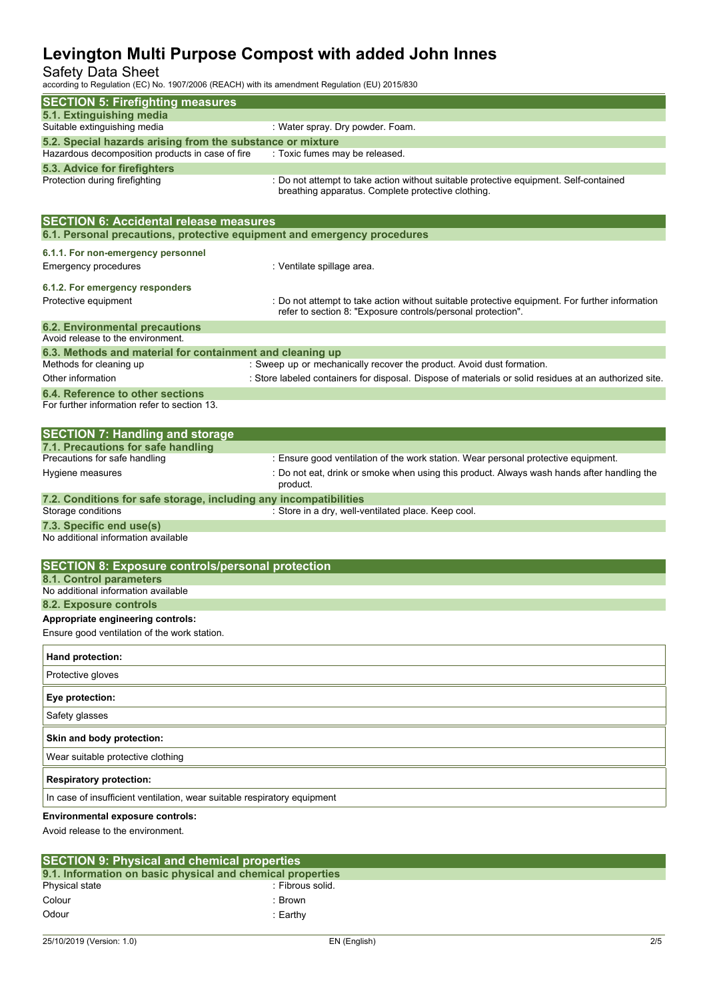## Safety Data Sheet

according to Regulation (EC) No. 1907/2006 (REACH) with its amendment Regulation (EU) 2015/830

| according to regulation (LO) No. 1907/2000 (NLAOH) with its amendment regulation (LO) 2019/000 |                                                                                                                                                                |
|------------------------------------------------------------------------------------------------|----------------------------------------------------------------------------------------------------------------------------------------------------------------|
| <b>SECTION 5: Firefighting measures</b>                                                        |                                                                                                                                                                |
| 5.1. Extinguishing media<br>Suitable extinguishing media                                       | : Water spray. Dry powder. Foam.                                                                                                                               |
| 5.2. Special hazards arising from the substance or mixture                                     |                                                                                                                                                                |
| Hazardous decomposition products in case of fire                                               | : Toxic fumes may be released.                                                                                                                                 |
| 5.3. Advice for firefighters                                                                   |                                                                                                                                                                |
| Protection during firefighting                                                                 | : Do not attempt to take action without suitable protective equipment. Self-contained<br>breathing apparatus. Complete protective clothing.                    |
| <b>SECTION 6: Accidental release measures</b>                                                  |                                                                                                                                                                |
| 6.1. Personal precautions, protective equipment and emergency procedures                       |                                                                                                                                                                |
| 6.1.1. For non-emergency personnel                                                             |                                                                                                                                                                |
| <b>Emergency procedures</b>                                                                    | : Ventilate spillage area.                                                                                                                                     |
| 6.1.2. For emergency responders                                                                |                                                                                                                                                                |
| Protective equipment                                                                           | : Do not attempt to take action without suitable protective equipment. For further information<br>refer to section 8: "Exposure controls/personal protection". |
| <b>6.2. Environmental precautions</b>                                                          |                                                                                                                                                                |
| Avoid release to the environment.<br>6.3. Methods and material for containment and cleaning up |                                                                                                                                                                |
| Methods for cleaning up                                                                        | : Sweep up or mechanically recover the product. Avoid dust formation.                                                                                          |
| Other information                                                                              | : Store labeled containers for disposal. Dispose of materials or solid residues at an authorized site.                                                         |
| 6.4. Reference to other sections<br>For further information refer to section 13.               |                                                                                                                                                                |
| <b>SECTION 7: Handling and storage</b>                                                         |                                                                                                                                                                |
| 7.1. Precautions for safe handling                                                             |                                                                                                                                                                |
| Precautions for safe handling                                                                  | : Ensure good ventilation of the work station. Wear personal protective equipment.                                                                             |
| Hygiene measures                                                                               | : Do not eat, drink or smoke when using this product. Always wash hands after handling the<br>product.                                                         |
| 7.2. Conditions for safe storage, including any incompatibilities<br>Storage conditions        | : Store in a dry, well-ventilated place. Keep cool.                                                                                                            |
| 7.3. Specific end use(s)                                                                       |                                                                                                                                                                |
| No additional information available                                                            |                                                                                                                                                                |
| <b>SECTION 8: Exposure controls/personal protection</b>                                        |                                                                                                                                                                |
| 8.1. Control parameters                                                                        |                                                                                                                                                                |
| No additional information available                                                            |                                                                                                                                                                |
| 8.2. Exposure controls                                                                         |                                                                                                                                                                |
| Appropriate engineering controls:<br>Ensure good ventilation of the work station.              |                                                                                                                                                                |
|                                                                                                |                                                                                                                                                                |
| Hand protection:<br>Protective gloves                                                          |                                                                                                                                                                |
|                                                                                                |                                                                                                                                                                |
| Eye protection:<br>Safety glasses                                                              |                                                                                                                                                                |
| Skin and body protection:                                                                      |                                                                                                                                                                |
| Wear suitable protective clothing                                                              |                                                                                                                                                                |
| <b>Respiratory protection:</b>                                                                 |                                                                                                                                                                |
| In case of insufficient ventilation, wear suitable respiratory equipment                       |                                                                                                                                                                |
| <b>Environmental exposure controls:</b><br>Avoid release to the environment.                   |                                                                                                                                                                |
|                                                                                                |                                                                                                                                                                |

| <b>SECTION 9: Physical and chemical properties</b>         |                  |
|------------------------------------------------------------|------------------|
| 9.1. Information on basic physical and chemical properties |                  |
| Physical state                                             | : Fibrous solid. |
| Colour                                                     | Brown            |
| Odour                                                      | :Earthv          |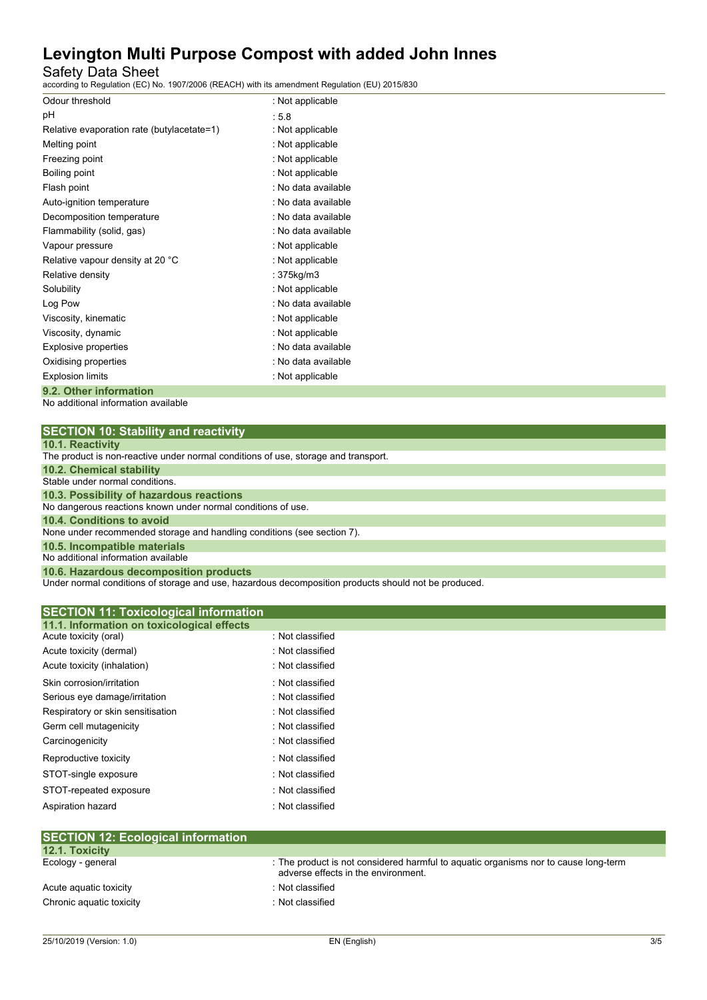Safety Data Sheet

according to Regulation (EC) No. 1907/2006 (REACH) with its amendment Regulation (EU) 2015/830

| Odour threshold                            | : Not applicable    |
|--------------------------------------------|---------------------|
| рH                                         | : 5.8               |
| Relative evaporation rate (butylacetate=1) | : Not applicable    |
| Melting point                              | : Not applicable    |
| Freezing point                             | : Not applicable    |
| Boiling point                              | : Not applicable    |
| Flash point                                | : No data available |
| Auto-ignition temperature                  | : No data available |
| Decomposition temperature                  | : No data available |
| Flammability (solid, gas)                  | : No data available |
| Vapour pressure                            | : Not applicable    |
| Relative vapour density at 20 °C           | : Not applicable    |
| Relative density                           | : 375kg/m3          |
| Solubility                                 | : Not applicable    |
| Log Pow                                    | : No data available |
| Viscosity, kinematic                       | : Not applicable    |
| Viscosity, dynamic                         | : Not applicable    |
| Explosive properties                       | : No data available |
| Oxidising properties                       | : No data available |
| <b>Explosion limits</b>                    | : Not applicable    |
| 9.2. Other information                     |                     |

No additional information available

| <b>SECTION 10: Stability and reactivity</b> |  |  |
|---------------------------------------------|--|--|
|---------------------------------------------|--|--|

|  |  |  | <b>10.1. Reactivity</b> |  |  |
|--|--|--|-------------------------|--|--|
|--|--|--|-------------------------|--|--|

Under normal conditions of storage and use, hazardous decomposition products should not be produced.

| <b>SECTION 11: Toxicological information</b>                        |                  |  |
|---------------------------------------------------------------------|------------------|--|
| 11.1. Information on toxicological effects<br>Acute toxicity (oral) | : Not classified |  |
| Acute toxicity (dermal)                                             | : Not classified |  |
| Acute toxicity (inhalation)                                         | : Not classified |  |
| Skin corrosion/irritation                                           | : Not classified |  |
| Serious eye damage/irritation                                       | : Not classified |  |
| Respiratory or skin sensitisation                                   | : Not classified |  |
| Germ cell mutagenicity                                              | : Not classified |  |
| Carcinogenicity                                                     | : Not classified |  |
| Reproductive toxicity                                               | : Not classified |  |
| STOT-single exposure                                                | : Not classified |  |
| STOT-repeated exposure                                              | : Not classified |  |
| Aspiration hazard                                                   | : Not classified |  |

| $\overline{C}$ . To $\overline{C}$ . Ecological implification |                                                                                                                            |
|---------------------------------------------------------------|----------------------------------------------------------------------------------------------------------------------------|
| <b>12.1. Toxicity</b>                                         |                                                                                                                            |
| Ecology - general                                             | : The product is not considered harmful to aquatic organisms nor to cause long-term<br>adverse effects in the environment. |
| Acute aguatic toxicity                                        | : Not classified                                                                                                           |
| Chronic aquatic toxicity                                      | : Not classified                                                                                                           |
|                                                               |                                                                                                                            |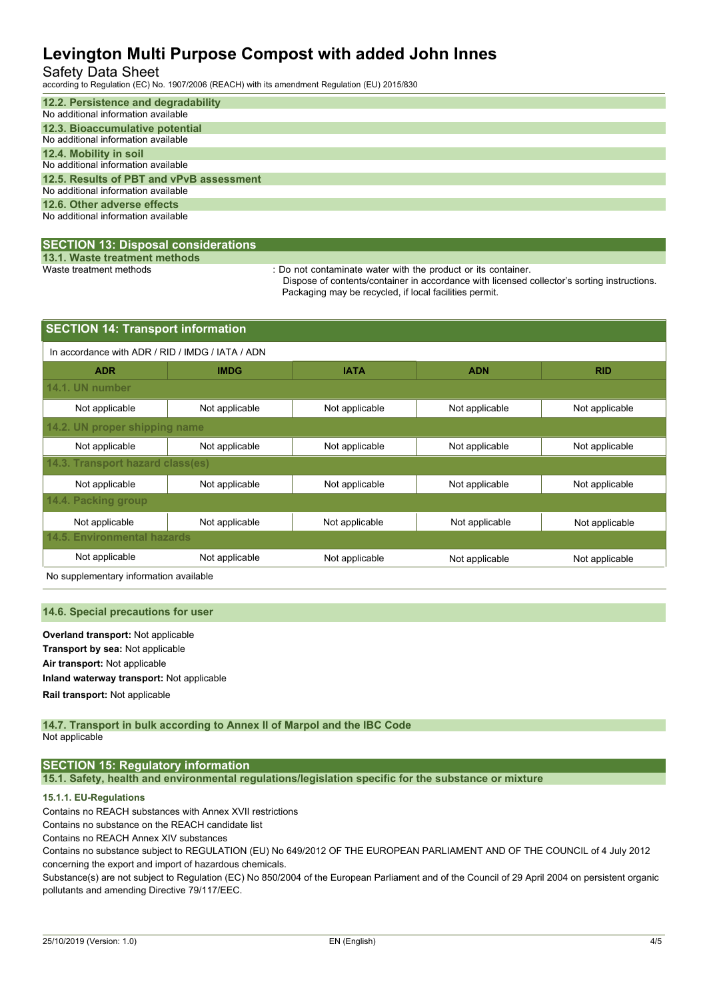## Safety Data Sheet

according to Regulation (EC) No. 1907/2006 (REACH) with its amendment Regulation (EU) 2015/830

| 12.2. Persistence and degradability<br>No additional information available      |
|---------------------------------------------------------------------------------|
| 12.3. Bioaccumulative potential<br>No additional information available          |
| 12.4. Mobility in soil<br>No additional information available                   |
| 12.5. Results of PBT and vPvB assessment<br>No additional information available |
| 12.6. Other adverse effects<br>No additional information available              |

#### **SECTION 13: Disposal considerations**

**13.1. Waste treatment methods**

: Do not contaminate water with the product or its container.

Dispose of contents/container in accordance with licensed collector's sorting instructions. Packaging may be recycled, if local facilities permit.

| <b>SECTION 14: Transport information</b>         |                |                |                |                |  |  |
|--------------------------------------------------|----------------|----------------|----------------|----------------|--|--|
| In accordance with ADR / RID / IMDG / IATA / ADN |                |                |                |                |  |  |
| <b>ADR</b>                                       | <b>IMDG</b>    | <b>IATA</b>    | <b>ADN</b>     | <b>RID</b>     |  |  |
| 14.1. UN number                                  |                |                |                |                |  |  |
| Not applicable                                   | Not applicable | Not applicable | Not applicable | Not applicable |  |  |
| 14.2. UN proper shipping name                    |                |                |                |                |  |  |
| Not applicable                                   | Not applicable | Not applicable | Not applicable | Not applicable |  |  |
| 14.3. Transport hazard class(es)                 |                |                |                |                |  |  |
| Not applicable                                   | Not applicable | Not applicable | Not applicable | Not applicable |  |  |
| 14.4. Packing group                              |                |                |                |                |  |  |
| Not applicable                                   | Not applicable | Not applicable | Not applicable | Not applicable |  |  |
| <b>14.5. Environmental hazards</b>               |                |                |                |                |  |  |
| Not applicable                                   | Not applicable | Not applicable | Not applicable | Not applicable |  |  |

No supplementary information available

#### **14.6. Special precautions for user**

**Overland transport:** Not applicable **Transport by sea:** Not applicable **Air transport:** Not applicable **Inland waterway transport:** Not applicable **Rail.transport:** Not applicable

**14.7. Transport in bulk according to Annex II of Marpol and the IBC Code** Not applicable

#### **SECTION 15: Regulatory information**

**15.1. Safety, health and environmental regulations/legislation specific for the substance or mixture**

#### **15.1.1. EU-Regulations**

Contains no REACH substances with Annex XVII restrictions

Contains no substance on the REACH candidate list

Contains no REACH Annex XIV substances

Contains no substance subject to REGULATION (EU) No 649/2012 OF THE EUROPEAN PARLIAMENT AND OF THE COUNCIL of 4 July 2012 concerning the export and import of hazardous chemicals.

Substance(s) are not subject to Regulation (EC) No 850/2004 of the European Parliament and of the Council of 29 April 2004 on persistent organic pollutants and amending Directive 79/117/EEC.